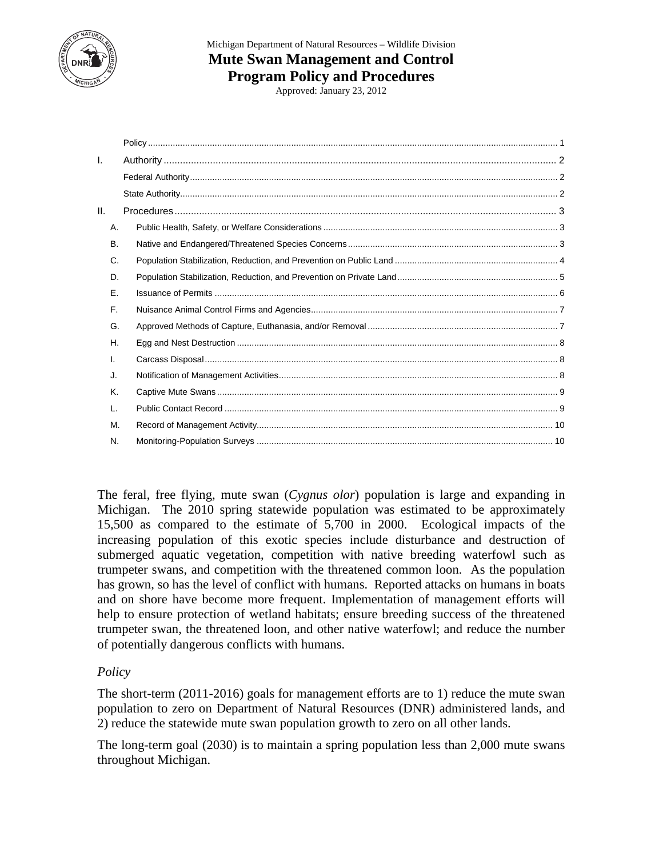

# Michigan Department of Natural Resources – Wildlife Division **Mute Swan Management and Control Program Policy and Procedures**

Approved: January 23, 2012

| I.  |           |  |
|-----|-----------|--|
|     |           |  |
|     |           |  |
| II. |           |  |
|     | Α.        |  |
|     | <b>B.</b> |  |
|     | C.        |  |
|     | D.        |  |
|     | Е.        |  |
|     | F.        |  |
|     | G.        |  |
|     | Η.        |  |
|     | I.        |  |
|     | J.        |  |
|     | Κ.        |  |
|     | L.        |  |
|     | Μ.        |  |
|     | N.        |  |
|     |           |  |

The feral, free flying, mute swan (*Cygnus olor*) population is large and expanding in Michigan. The 2010 spring statewide population was estimated to be approximately 15,500 as compared to the estimate of 5,700 in 2000. Ecological impacts of the increasing population of this exotic species include disturbance and destruction of submerged aquatic vegetation, competition with native breeding waterfowl such as trumpeter swans, and competition with the threatened common loon. As the population has grown, so has the level of conflict with humans. Reported attacks on humans in boats and on shore have become more frequent. Implementation of management efforts will help to ensure protection of wetland habitats; ensure breeding success of the threatened trumpeter swan, the threatened loon, and other native waterfowl; and reduce the number of potentially dangerous conflicts with humans.

## *Policy*

The short-term (2011-2016) goals for management efforts are to 1) reduce the mute swan population to zero on Department of Natural Resources (DNR) administered lands, and 2) reduce the statewide mute swan population growth to zero on all other lands.

The long-term goal (2030) is to maintain a spring population less than 2,000 mute swans throughout Michigan.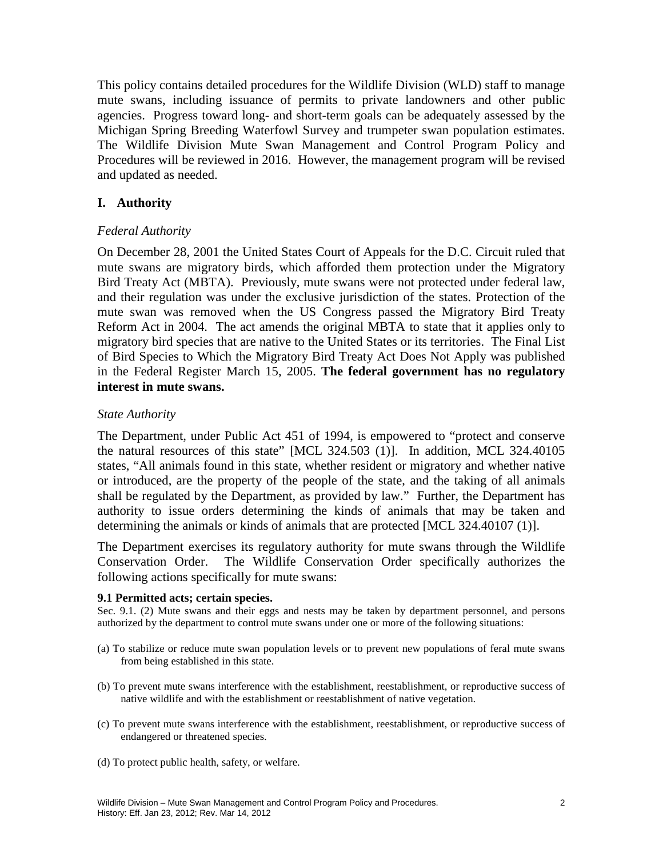This policy contains detailed procedures for the Wildlife Division (WLD) staff to manage mute swans, including issuance of permits to private landowners and other public agencies. Progress toward long- and short-term goals can be adequately assessed by the Michigan Spring Breeding Waterfowl Survey and trumpeter swan population estimates. The Wildlife Division Mute Swan Management and Control Program Policy and Procedures will be reviewed in 2016. However, the management program will be revised and updated as needed.

### **I. Authority**

### *Federal Authority*

On December 28, 2001 the United States Court of Appeals for the D.C. Circuit ruled that mute swans are migratory birds, which afforded them protection under the Migratory Bird Treaty Act (MBTA). Previously, mute swans were not protected under federal law, and their regulation was under the exclusive jurisdiction of the states. Protection of the mute swan was removed when the US Congress passed the Migratory Bird Treaty Reform Act in 2004. The act amends the original MBTA to state that it applies only to migratory bird species that are native to the United States or its territories. The Final List of Bird Species to Which the Migratory Bird Treaty Act Does Not Apply was published in the Federal Register March 15, 2005. **The federal government has no regulatory interest in mute swans.**

#### *State Authority*

The Department, under Public Act 451 of 1994, is empowered to "protect and conserve the natural resources of this state" [MCL 324.503 (1)]. In addition, MCL 324.40105 states, "All animals found in this state, whether resident or migratory and whether native or introduced, are the property of the people of the state, and the taking of all animals shall be regulated by the Department, as provided by law." Further, the Department has authority to issue orders determining the kinds of animals that may be taken and determining the animals or kinds of animals that are protected [MCL 324.40107 (1)].

The Department exercises its regulatory authority for mute swans through the Wildlife Conservation Order. The Wildlife Conservation Order specifically authorizes the following actions specifically for mute swans:

#### **9.1 Permitted acts; certain species.**

Sec. 9.1. (2) Mute swans and their eggs and nests may be taken by department personnel, and persons authorized by the department to control mute swans under one or more of the following situations:

- (a) To stabilize or reduce mute swan population levels or to prevent new populations of feral mute swans from being established in this state.
- (b) To prevent mute swans interference with the establishment, reestablishment, or reproductive success of native wildlife and with the establishment or reestablishment of native vegetation.
- (c) To prevent mute swans interference with the establishment, reestablishment, or reproductive success of endangered or threatened species.
- (d) To protect public health, safety, or welfare.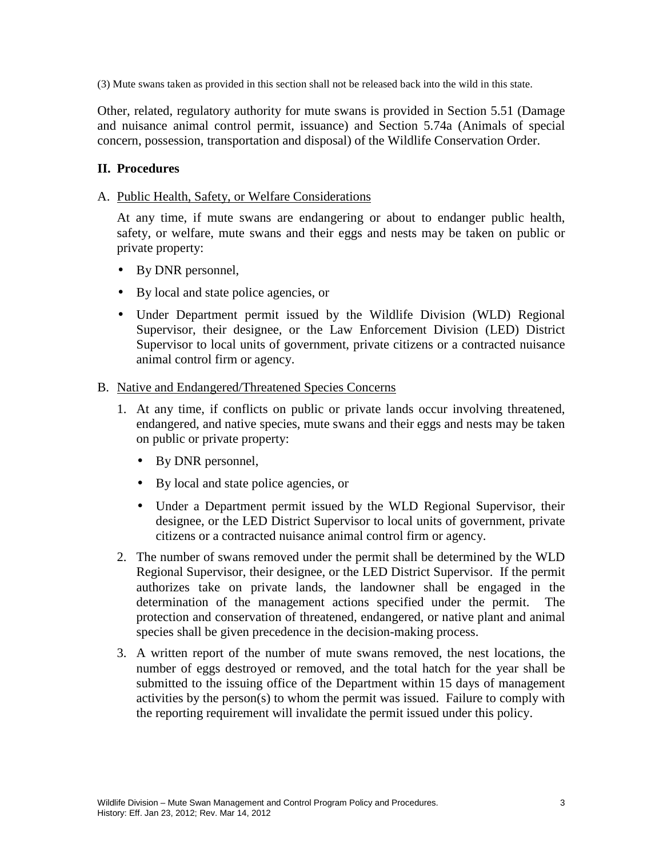(3) Mute swans taken as provided in this section shall not be released back into the wild in this state.

Other, related, regulatory authority for mute swans is provided in Section 5.51 (Damage and nuisance animal control permit, issuance) and Section 5.74a (Animals of special concern, possession, transportation and disposal) of the Wildlife Conservation Order.

### **II. Procedures**

#### A. Public Health, Safety, or Welfare Considerations

At any time, if mute swans are endangering or about to endanger public health, safety, or welfare, mute swans and their eggs and nests may be taken on public or private property:

- By DNR personnel,
- By local and state police agencies, or
- Under Department permit issued by the Wildlife Division (WLD) Regional Supervisor, their designee, or the Law Enforcement Division (LED) District Supervisor to local units of government, private citizens or a contracted nuisance animal control firm or agency.

#### B. Native and Endangered/Threatened Species Concerns

- 1. At any time, if conflicts on public or private lands occur involving threatened, endangered, and native species, mute swans and their eggs and nests may be taken on public or private property:
	- By DNR personnel,
	- By local and state police agencies, or
	- Under a Department permit issued by the WLD Regional Supervisor, their designee, or the LED District Supervisor to local units of government, private citizens or a contracted nuisance animal control firm or agency.
- 2. The number of swans removed under the permit shall be determined by the WLD Regional Supervisor, their designee, or the LED District Supervisor. If the permit authorizes take on private lands, the landowner shall be engaged in the determination of the management actions specified under the permit. The protection and conservation of threatened, endangered, or native plant and animal species shall be given precedence in the decision-making process.
- 3. A written report of the number of mute swans removed, the nest locations, the number of eggs destroyed or removed, and the total hatch for the year shall be submitted to the issuing office of the Department within 15 days of management activities by the person(s) to whom the permit was issued. Failure to comply with the reporting requirement will invalidate the permit issued under this policy.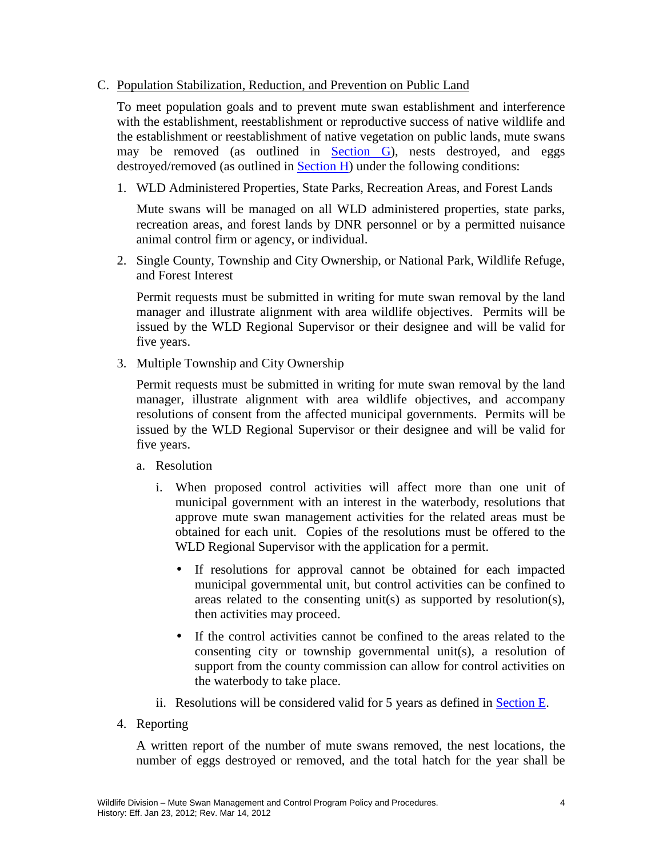#### C. Population Stabilization, Reduction, and Prevention on Public Land

To meet population goals and to prevent mute swan establishment and interference with the establishment, reestablishment or reproductive success of native wildlife and the establishment or reestablishment of native vegetation on public lands, mute swans may be removed (as outlined in **Section G**), nests destroyed, and eggs destroyed/removed (as outlined in Section H) under the following conditions:

1. WLD Administered Properties, State Parks, Recreation Areas, and Forest Lands

Mute swans will be managed on all WLD administered properties, state parks, recreation areas, and forest lands by DNR personnel or by a permitted nuisance animal control firm or agency, or individual.

2. Single County, Township and City Ownership, or National Park, Wildlife Refuge, and Forest Interest

Permit requests must be submitted in writing for mute swan removal by the land manager and illustrate alignment with area wildlife objectives. Permits will be issued by the WLD Regional Supervisor or their designee and will be valid for five years.

3. Multiple Township and City Ownership

Permit requests must be submitted in writing for mute swan removal by the land manager, illustrate alignment with area wildlife objectives, and accompany resolutions of consent from the affected municipal governments. Permits will be issued by the WLD Regional Supervisor or their designee and will be valid for five years.

#### a. Resolution

- i. When proposed control activities will affect more than one unit of municipal government with an interest in the waterbody, resolutions that approve mute swan management activities for the related areas must be obtained for each unit. Copies of the resolutions must be offered to the WLD Regional Supervisor with the application for a permit.
	- If resolutions for approval cannot be obtained for each impacted municipal governmental unit, but control activities can be confined to areas related to the consenting unit(s) as supported by resolution(s), then activities may proceed.
	- If the control activities cannot be confined to the areas related to the consenting city or township governmental unit(s), a resolution of support from the county commission can allow for control activities on the waterbody to take place.
- ii. Resolutions will be considered valid for 5 years as defined in Section E.
- 4. Reporting

A written report of the number of mute swans removed, the nest locations, the number of eggs destroyed or removed, and the total hatch for the year shall be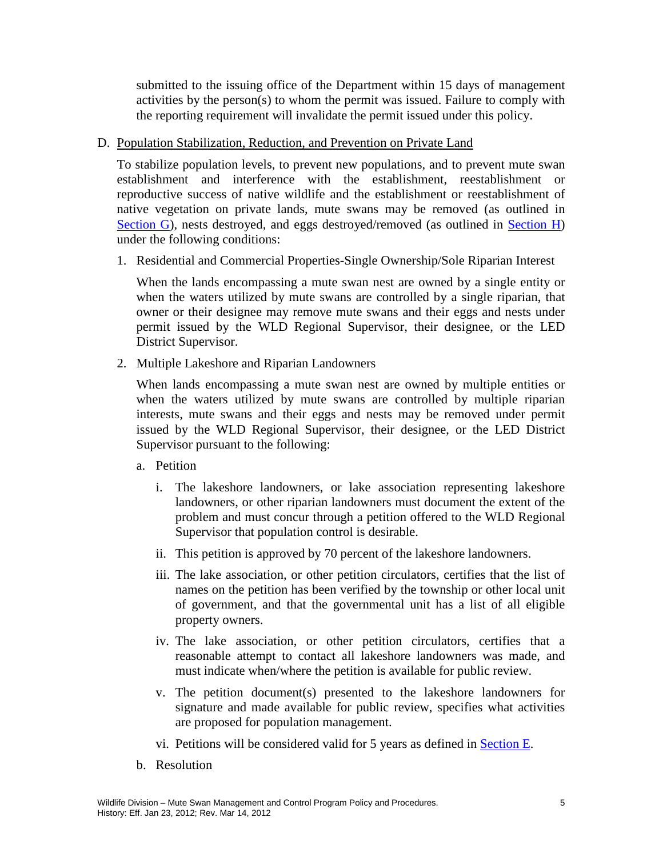submitted to the issuing office of the Department within 15 days of management activities by the person(s) to whom the permit was issued. Failure to comply with the reporting requirement will invalidate the permit issued under this policy.

### D. Population Stabilization, Reduction, and Prevention on Private Land

To stabilize population levels, to prevent new populations, and to prevent mute swan establishment and interference with the establishment, reestablishment or reproductive success of native wildlife and the establishment or reestablishment of native vegetation on private lands, mute swans may be removed (as outlined in Section G), nests destroyed, and eggs destroyed/removed (as outlined in Section H) under the following conditions:

1. Residential and Commercial Properties-Single Ownership/Sole Riparian Interest

When the lands encompassing a mute swan nest are owned by a single entity or when the waters utilized by mute swans are controlled by a single riparian, that owner or their designee may remove mute swans and their eggs and nests under permit issued by the WLD Regional Supervisor, their designee, or the LED District Supervisor.

2. Multiple Lakeshore and Riparian Landowners

When lands encompassing a mute swan nest are owned by multiple entities or when the waters utilized by mute swans are controlled by multiple riparian interests, mute swans and their eggs and nests may be removed under permit issued by the WLD Regional Supervisor, their designee, or the LED District Supervisor pursuant to the following:

#### a. Petition

- i. The lakeshore landowners, or lake association representing lakeshore landowners, or other riparian landowners must document the extent of the problem and must concur through a petition offered to the WLD Regional Supervisor that population control is desirable.
- ii. This petition is approved by 70 percent of the lakeshore landowners.
- iii. The lake association, or other petition circulators, certifies that the list of names on the petition has been verified by the township or other local unit of government, and that the governmental unit has a list of all eligible property owners.
- iv. The lake association, or other petition circulators, certifies that a reasonable attempt to contact all lakeshore landowners was made, and must indicate when/where the petition is available for public review.
- v. The petition document(s) presented to the lakeshore landowners for signature and made available for public review, specifies what activities are proposed for population management.
- vi. Petitions will be considered valid for 5 years as defined in Section E.
- b. Resolution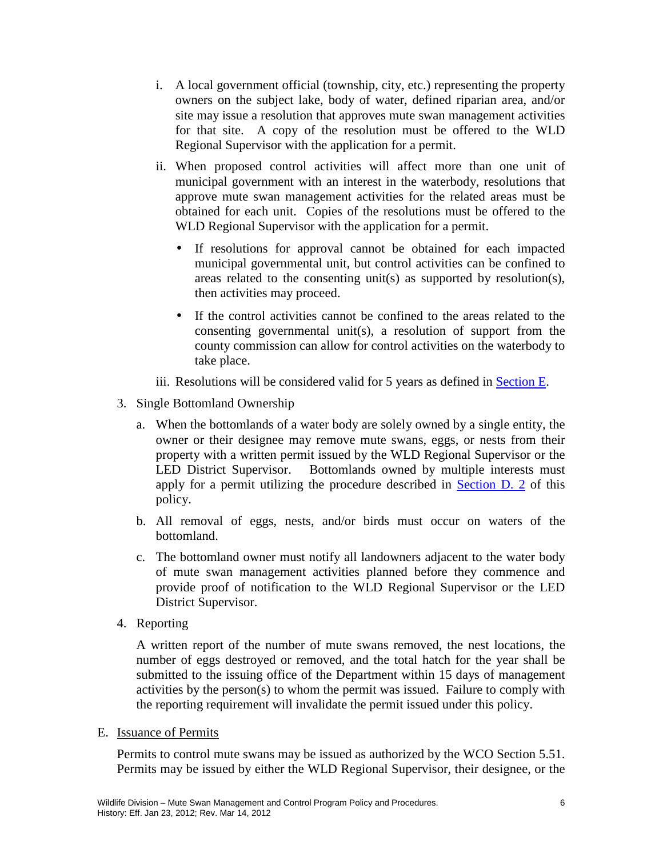- i. A local government official (township, city, etc.) representing the property owners on the subject lake, body of water, defined riparian area, and/or site may issue a resolution that approves mute swan management activities for that site. A copy of the resolution must be offered to the WLD Regional Supervisor with the application for a permit.
- ii. When proposed control activities will affect more than one unit of municipal government with an interest in the waterbody, resolutions that approve mute swan management activities for the related areas must be obtained for each unit. Copies of the resolutions must be offered to the WLD Regional Supervisor with the application for a permit.
	- If resolutions for approval cannot be obtained for each impacted municipal governmental unit, but control activities can be confined to areas related to the consenting unit(s) as supported by resolution(s), then activities may proceed.
	- If the control activities cannot be confined to the areas related to the consenting governmental unit(s), a resolution of support from the county commission can allow for control activities on the waterbody to take place.
- iii. Resolutions will be considered valid for 5 years as defined in Section E.
- 3. Single Bottomland Ownership
	- a. When the bottomlands of a water body are solely owned by a single entity, the owner or their designee may remove mute swans, eggs, or nests from their property with a written permit issued by the WLD Regional Supervisor or the LED District Supervisor. Bottomlands owned by multiple interests must apply for a permit utilizing the procedure described in Section D. 2 of this policy.
	- b. All removal of eggs, nests, and/or birds must occur on waters of the bottomland.
	- c. The bottomland owner must notify all landowners adjacent to the water body of mute swan management activities planned before they commence and provide proof of notification to the WLD Regional Supervisor or the LED District Supervisor.
- 4. Reporting

A written report of the number of mute swans removed, the nest locations, the number of eggs destroyed or removed, and the total hatch for the year shall be submitted to the issuing office of the Department within 15 days of management activities by the person(s) to whom the permit was issued. Failure to comply with the reporting requirement will invalidate the permit issued under this policy.

E. Issuance of Permits

Permits to control mute swans may be issued as authorized by the WCO Section 5.51. Permits may be issued by either the WLD Regional Supervisor, their designee, or the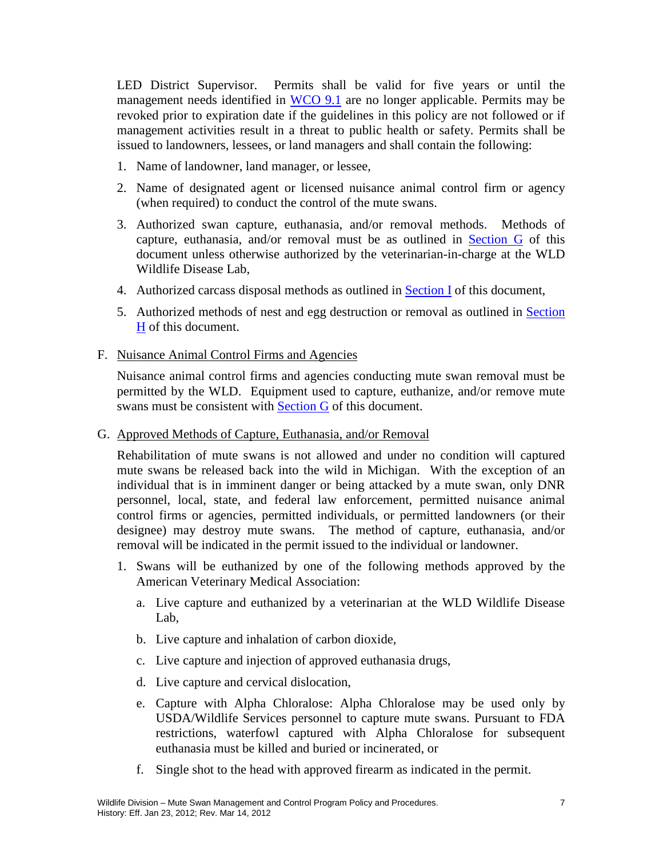LED District Supervisor. Permits shall be valid for five years or until the management needs identified in WCO 9.1 are no longer applicable. Permits may be revoked prior to expiration date if the guidelines in this policy are not followed or if management activities result in a threat to public health or safety. Permits shall be issued to landowners, lessees, or land managers and shall contain the following:

- 1. Name of landowner, land manager, or lessee,
- 2. Name of designated agent or licensed nuisance animal control firm or agency (when required) to conduct the control of the mute swans.
- 3. Authorized swan capture, euthanasia, and/or removal methods. Methods of capture, euthanasia, and/or removal must be as outlined in Section G of this document unless otherwise authorized by the veterinarian-in-charge at the WLD Wildlife Disease Lab,
- 4. Authorized carcass disposal methods as outlined in Section I of this document,
- 5. Authorized methods of nest and egg destruction or removal as outlined in Section H of this document.

### F. Nuisance Animal Control Firms and Agencies

Nuisance animal control firms and agencies conducting mute swan removal must be permitted by the WLD. Equipment used to capture, euthanize, and/or remove mute swans must be consistent with Section G of this document.

#### G. Approved Methods of Capture, Euthanasia, and/or Removal

Rehabilitation of mute swans is not allowed and under no condition will captured mute swans be released back into the wild in Michigan. With the exception of an individual that is in imminent danger or being attacked by a mute swan, only DNR personnel, local, state, and federal law enforcement, permitted nuisance animal control firms or agencies, permitted individuals, or permitted landowners (or their designee) may destroy mute swans. The method of capture, euthanasia, and/or removal will be indicated in the permit issued to the individual or landowner.

- 1. Swans will be euthanized by one of the following methods approved by the American Veterinary Medical Association:
	- a. Live capture and euthanized by a veterinarian at the WLD Wildlife Disease Lab,
	- b. Live capture and inhalation of carbon dioxide,
	- c. Live capture and injection of approved euthanasia drugs,
	- d. Live capture and cervical dislocation,
	- e. Capture with Alpha Chloralose: Alpha Chloralose may be used only by USDA/Wildlife Services personnel to capture mute swans. Pursuant to FDA restrictions, waterfowl captured with Alpha Chloralose for subsequent euthanasia must be killed and buried or incinerated, or
	- f. Single shot to the head with approved firearm as indicated in the permit.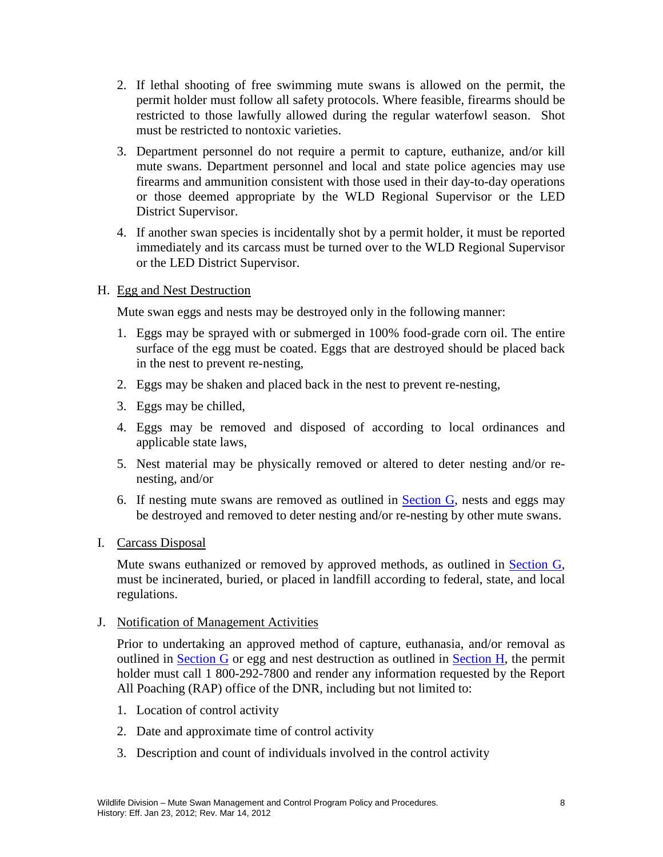- 2. If lethal shooting of free swimming mute swans is allowed on the permit, the permit holder must follow all safety protocols. Where feasible, firearms should be restricted to those lawfully allowed during the regular waterfowl season. Shot must be restricted to nontoxic varieties.
- 3. Department personnel do not require a permit to capture, euthanize, and/or kill mute swans. Department personnel and local and state police agencies may use firearms and ammunition consistent with those used in their day-to-day operations or those deemed appropriate by the WLD Regional Supervisor or the LED District Supervisor.
- 4. If another swan species is incidentally shot by a permit holder, it must be reported immediately and its carcass must be turned over to the WLD Regional Supervisor or the LED District Supervisor.

### H. Egg and Nest Destruction

Mute swan eggs and nests may be destroyed only in the following manner:

- 1. Eggs may be sprayed with or submerged in 100% food-grade corn oil. The entire surface of the egg must be coated. Eggs that are destroyed should be placed back in the nest to prevent re-nesting,
- 2. Eggs may be shaken and placed back in the nest to prevent re-nesting,
- 3. Eggs may be chilled,
- 4. Eggs may be removed and disposed of according to local ordinances and applicable state laws,
- 5. Nest material may be physically removed or altered to deter nesting and/or renesting, and/or
- 6. If nesting mute swans are removed as outlined in Section G, nests and eggs may be destroyed and removed to deter nesting and/or re-nesting by other mute swans.
- I. Carcass Disposal

Mute swans euthanized or removed by approved methods, as outlined in **Section G**, must be incinerated, buried, or placed in landfill according to federal, state, and local regulations.

J. Notification of Management Activities

Prior to undertaking an approved method of capture, euthanasia, and/or removal as outlined in Section G or egg and nest destruction as outlined in Section H, the permit holder must call 1 800-292-7800 and render any information requested by the Report All Poaching (RAP) office of the DNR, including but not limited to:

- 1. Location of control activity
- 2. Date and approximate time of control activity
- 3. Description and count of individuals involved in the control activity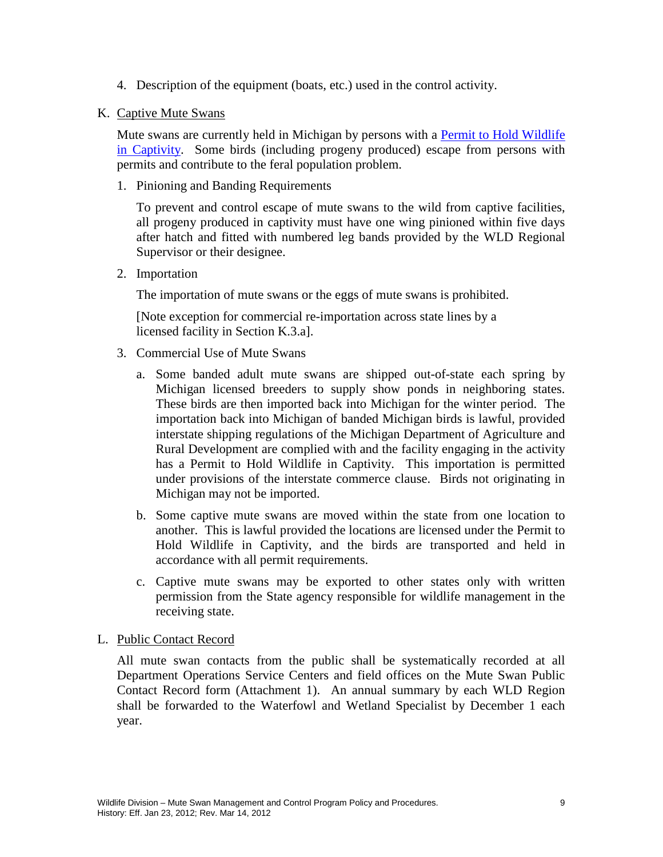- 4. Description of the equipment (boats, etc.) used in the control activity.
- K. Captive Mute Swans

Mute swans are currently held in Michigan by persons with a Permit to Hold Wildlife in Captivity. Some birds (including progeny produced) escape from persons with permits and contribute to the feral population problem.

1. Pinioning and Banding Requirements

To prevent and control escape of mute swans to the wild from captive facilities, all progeny produced in captivity must have one wing pinioned within five days after hatch and fitted with numbered leg bands provided by the WLD Regional Supervisor or their designee.

2. Importation

The importation of mute swans or the eggs of mute swans is prohibited.

[Note exception for commercial re-importation across state lines by a licensed facility in Section K.3.a].

- 3. Commercial Use of Mute Swans
	- a. Some banded adult mute swans are shipped out-of-state each spring by Michigan licensed breeders to supply show ponds in neighboring states. These birds are then imported back into Michigan for the winter period. The importation back into Michigan of banded Michigan birds is lawful, provided interstate shipping regulations of the Michigan Department of Agriculture and Rural Development are complied with and the facility engaging in the activity has a Permit to Hold Wildlife in Captivity. This importation is permitted under provisions of the interstate commerce clause. Birds not originating in Michigan may not be imported.
	- b. Some captive mute swans are moved within the state from one location to another. This is lawful provided the locations are licensed under the Permit to Hold Wildlife in Captivity, and the birds are transported and held in accordance with all permit requirements.
	- c. Captive mute swans may be exported to other states only with written permission from the State agency responsible for wildlife management in the receiving state.
- L. Public Contact Record

All mute swan contacts from the public shall be systematically recorded at all Department Operations Service Centers and field offices on the Mute Swan Public Contact Record form (Attachment 1). An annual summary by each WLD Region shall be forwarded to the Waterfowl and Wetland Specialist by December 1 each year.